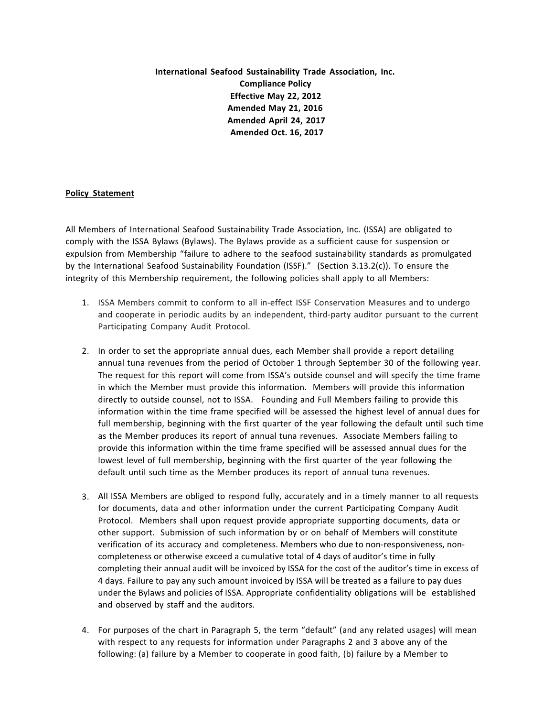**International Seafood Sustainability Trade Association, Inc. Compliance Policy Effective May 22, 2012 Amended May 21, 2016 Amended April 24, 2017 Amended Oct. 16, 2017**

## **Policy Statement**

All Members of International Seafood Sustainability Trade Association, Inc. (ISSA) are obligated to comply with the ISSA Bylaws (Bylaws). The Bylaws provide as a sufficient cause for suspension or expulsion from Membership "failure to adhere to the seafood sustainability standards as promulgated by the International Seafood Sustainability Foundation (ISSF)." (Section 3.13.2(c)). To ensure the integrity of this Membership requirement, the following policies shall apply to all Members:

- 1. ISSA Members commit to conform to all in-effect ISSF Conservation Measures and to undergo and cooperate in periodic audits by an independent, third-party auditor pursuant to the current Participating Company Audit Protocol.
- 2. In order to set the appropriate annual dues, each Member shall provide a report detailing annual tuna revenues from the period of October 1 through September 30 of the following year. The request for this report will come from ISSA's outside counsel and will specify the time frame in which the Member must provide this information. Members will provide this information directly to outside counsel, not to ISSA. Founding and Full Members failing to provide this information within the time frame specified will be assessed the highest level of annual dues for full membership, beginning with the first quarter of the year following the default until such time as the Member produces its report of annual tuna revenues. Associate Members failing to provide this information within the time frame specified will be assessed annual dues for the lowest level of full membership, beginning with the first quarter of the year following the default until such time as the Member produces its report of annual tuna revenues.
- 3. All ISSA Members are obliged to respond fully, accurately and in a timely manner to all requests for documents, data and other information under the current Participating Company Audit Protocol. Members shall upon request provide appropriate supporting documents, data or other support. Submission of such information by or on behalf of Members will constitute verification of its accuracy and completeness. Members who due to non-responsiveness, noncompleteness or otherwise exceed a cumulative total of 4 days of auditor's time in fully completing their annual audit will be invoiced by ISSA for the cost of the auditor's time in excess of 4 days. Failure to pay any such amount invoiced by ISSA will be treated as a failure to pay dues under the Bylaws and policies of ISSA. Appropriate confidentiality obligations will be established and observed by staff and the auditors.
- 4. For purposes of the chart in Paragraph 5, the term "default" (and any related usages) will mean with respect to any requests for information under Paragraphs 2 and 3 above any of the following: (a) failure by a Member to cooperate in good faith, (b) failure by a Member to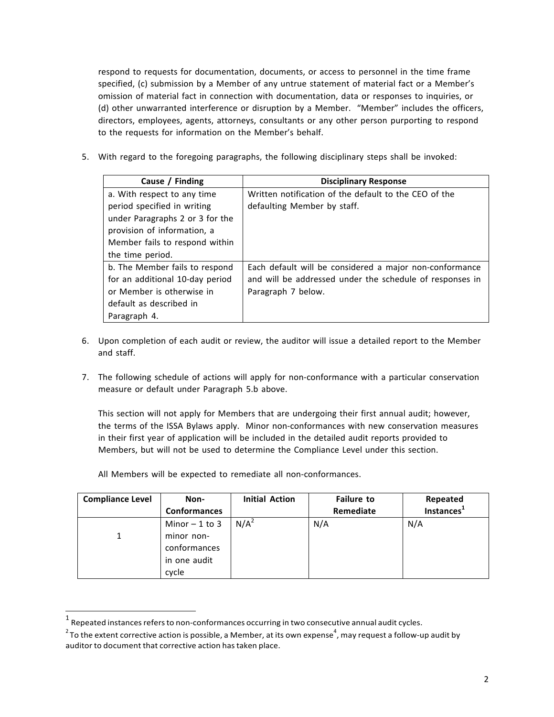respond to requests for documentation, documents, or access to personnel in the time frame specified, (c) submission by a Member of any untrue statement of material fact or a Member's omission of material fact in connection with documentation, data or responses to inquiries, or (d) other unwarranted interference or disruption by a Member. "Member" includes the officers, directors, employees, agents, attorneys, consultants or any other person purporting to respond to the requests for information on the Member's behalf.

5. With regard to the foregoing paragraphs, the following disciplinary steps shall be invoked:

| Cause / Finding                 | <b>Disciplinary Response</b>                             |
|---------------------------------|----------------------------------------------------------|
| a. With respect to any time     | Written notification of the default to the CEO of the    |
| period specified in writing     | defaulting Member by staff.                              |
| under Paragraphs 2 or 3 for the |                                                          |
| provision of information, a     |                                                          |
| Member fails to respond within  |                                                          |
| the time period.                |                                                          |
| b. The Member fails to respond  | Each default will be considered a major non-conformance  |
| for an additional 10-day period | and will be addressed under the schedule of responses in |
| or Member is otherwise in       | Paragraph 7 below.                                       |
| default as described in         |                                                          |
| Paragraph 4.                    |                                                          |

- 6. Upon completion of each audit or review, the auditor will issue a detailed report to the Member and staff.
- 7. The following schedule of actions will apply for non-conformance with a particular conservation measure or default under Paragraph 5.b above.

This section will not apply for Members that are undergoing their first annual audit; however, the terms of the ISSA Bylaws apply. Minor non-conformances with new conservation measures in their first year of application will be included in the detailed audit reports provided to Members, but will not be used to determine the Compliance Level under this section.

All Members will be expected to remediate all non-conformances.

| <b>Compliance Level</b> | Non-                | <b>Initial Action</b> | <b>Failure to</b> | Repeated               |
|-------------------------|---------------------|-----------------------|-------------------|------------------------|
|                         | <b>Conformances</b> |                       | Remediate         | Instances <sup>1</sup> |
|                         | Minor $-1$ to 3     | N/A <sup>2</sup>      | N/A               | N/A                    |
|                         | minor non-          |                       |                   |                        |
|                         | conformances        |                       |                   |                        |
|                         | in one audit        |                       |                   |                        |
|                         | cycle               |                       |                   |                        |

 $1$  Repeated instances refers to non-conformances occurring in two consecutive annual audit cycles.

 $^{\text{2}}$ To the extent corrective action is possible, a Member, at its own expense $^{\text{4}}$ , may request a follow-up audit by auditor to document that corrective action has taken place.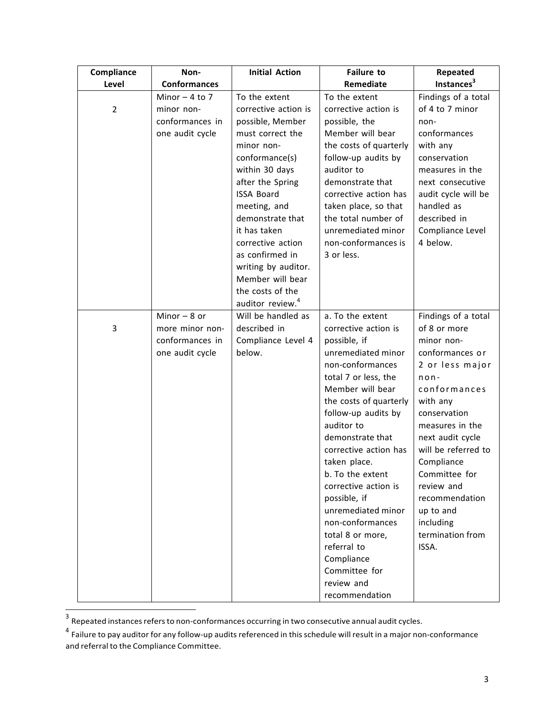| Compliance     | Non-                                                                   | <b>Initial Action</b>                                                                                                                                                                                                                                                                                                                                               | <b>Failure to</b>                                                                                                                                                                                                                                                                                                                                                                                                                                                                  | Repeated                                                                                                                                                                                                                                                                                                                           |
|----------------|------------------------------------------------------------------------|---------------------------------------------------------------------------------------------------------------------------------------------------------------------------------------------------------------------------------------------------------------------------------------------------------------------------------------------------------------------|------------------------------------------------------------------------------------------------------------------------------------------------------------------------------------------------------------------------------------------------------------------------------------------------------------------------------------------------------------------------------------------------------------------------------------------------------------------------------------|------------------------------------------------------------------------------------------------------------------------------------------------------------------------------------------------------------------------------------------------------------------------------------------------------------------------------------|
| Level          | <b>Conformances</b>                                                    |                                                                                                                                                                                                                                                                                                                                                                     | Remediate                                                                                                                                                                                                                                                                                                                                                                                                                                                                          | Instances <sup>3</sup>                                                                                                                                                                                                                                                                                                             |
| $\overline{2}$ | Minor $-4$ to 7<br>minor non-<br>conformances in<br>one audit cycle    | To the extent<br>corrective action is<br>possible, Member<br>must correct the<br>minor non-<br>conformance(s)<br>within 30 days<br>after the Spring<br><b>ISSA Board</b><br>meeting, and<br>demonstrate that<br>it has taken<br>corrective action<br>as confirmed in<br>writing by auditor.<br>Member will bear<br>the costs of the<br>auditor review. <sup>4</sup> | To the extent<br>corrective action is<br>possible, the<br>Member will bear<br>the costs of quarterly<br>follow-up audits by<br>auditor to<br>demonstrate that<br>corrective action has<br>taken place, so that<br>the total number of<br>unremediated minor<br>non-conformances is<br>3 or less.                                                                                                                                                                                   | Findings of a total<br>of 4 to 7 minor<br>non-<br>conformances<br>with any<br>conservation<br>measures in the<br>next consecutive<br>audit cycle will be<br>handled as<br>described in<br>Compliance Level<br>4 below.                                                                                                             |
| 3              | Minor $-8$ or<br>more minor non-<br>conformances in<br>one audit cycle | Will be handled as<br>described in<br>Compliance Level 4<br>below.                                                                                                                                                                                                                                                                                                  | a. To the extent<br>corrective action is<br>possible, if<br>unremediated minor<br>non-conformances<br>total 7 or less, the<br>Member will bear<br>the costs of quarterly<br>follow-up audits by<br>auditor to<br>demonstrate that<br>corrective action has<br>taken place.<br>b. To the extent<br>corrective action is<br>possible, if<br>unremediated minor<br>non-conformances<br>total 8 or more,<br>referral to<br>Compliance<br>Committee for<br>review and<br>recommendation | Findings of a total<br>of 8 or more<br>minor non-<br>conformances or<br>2 or less major<br>$n$ on-<br>conformances<br>with any<br>conservation<br>measures in the<br>next audit cycle<br>will be referred to<br>Compliance<br>Committee for<br>review and<br>recommendation<br>up to and<br>including<br>termination from<br>ISSA. |

 $3$  Repeated instances refers to non-conformances occurring in two consecutive annual audit cycles.

<sup>&</sup>lt;sup>4</sup> Failure to pay auditor for any follow-up audits referenced in this schedule will result in a major non-conformance and referral to the Compliance Committee.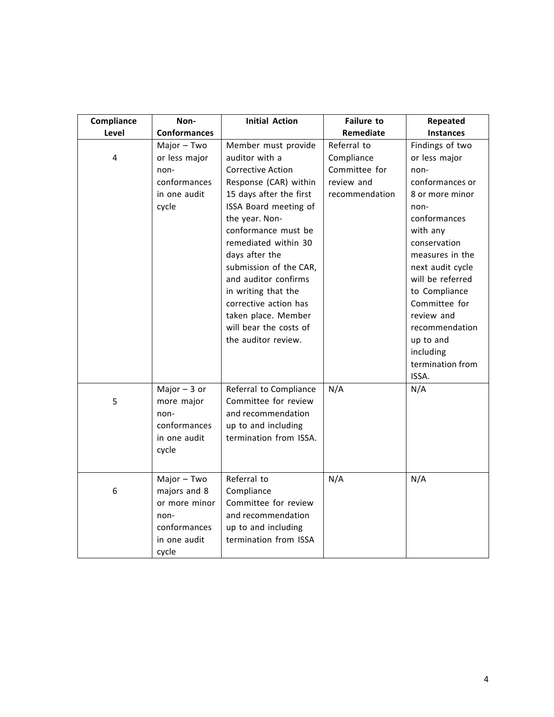| Compliance | Non-                                                                                          | <b>Initial Action</b>                                                                                                                                                                                                                                                                                                                                                                                       | <b>Failure to</b>                                                          | Repeated                                                                                                                                                                                                                                                                                                      |
|------------|-----------------------------------------------------------------------------------------------|-------------------------------------------------------------------------------------------------------------------------------------------------------------------------------------------------------------------------------------------------------------------------------------------------------------------------------------------------------------------------------------------------------------|----------------------------------------------------------------------------|---------------------------------------------------------------------------------------------------------------------------------------------------------------------------------------------------------------------------------------------------------------------------------------------------------------|
| Level      | <b>Conformances</b>                                                                           |                                                                                                                                                                                                                                                                                                                                                                                                             | Remediate                                                                  | <b>Instances</b>                                                                                                                                                                                                                                                                                              |
| 4          | Major - Two<br>or less major<br>non-<br>conformances<br>in one audit<br>cycle                 | Member must provide<br>auditor with a<br><b>Corrective Action</b><br>Response (CAR) within<br>15 days after the first<br>ISSA Board meeting of<br>the year. Non-<br>conformance must be<br>remediated within 30<br>days after the<br>submission of the CAR,<br>and auditor confirms<br>in writing that the<br>corrective action has<br>taken place. Member<br>will bear the costs of<br>the auditor review. | Referral to<br>Compliance<br>Committee for<br>review and<br>recommendation | Findings of two<br>or less major<br>non-<br>conformances or<br>8 or more minor<br>non-<br>conformances<br>with any<br>conservation<br>measures in the<br>next audit cycle<br>will be referred<br>to Compliance<br>Committee for<br>review and<br>recommendation<br>up to and<br>including<br>termination from |
| 5          | Major $-3$ or<br>more major<br>non-<br>conformances<br>in one audit<br>cycle                  | Referral to Compliance<br>Committee for review<br>and recommendation<br>up to and including<br>termination from ISSA.                                                                                                                                                                                                                                                                                       | N/A                                                                        | ISSA.<br>N/A                                                                                                                                                                                                                                                                                                  |
| 6          | Major - Two<br>majors and 8<br>or more minor<br>non-<br>conformances<br>in one audit<br>cycle | Referral to<br>Compliance<br>Committee for review<br>and recommendation<br>up to and including<br>termination from ISSA                                                                                                                                                                                                                                                                                     | N/A                                                                        | N/A                                                                                                                                                                                                                                                                                                           |